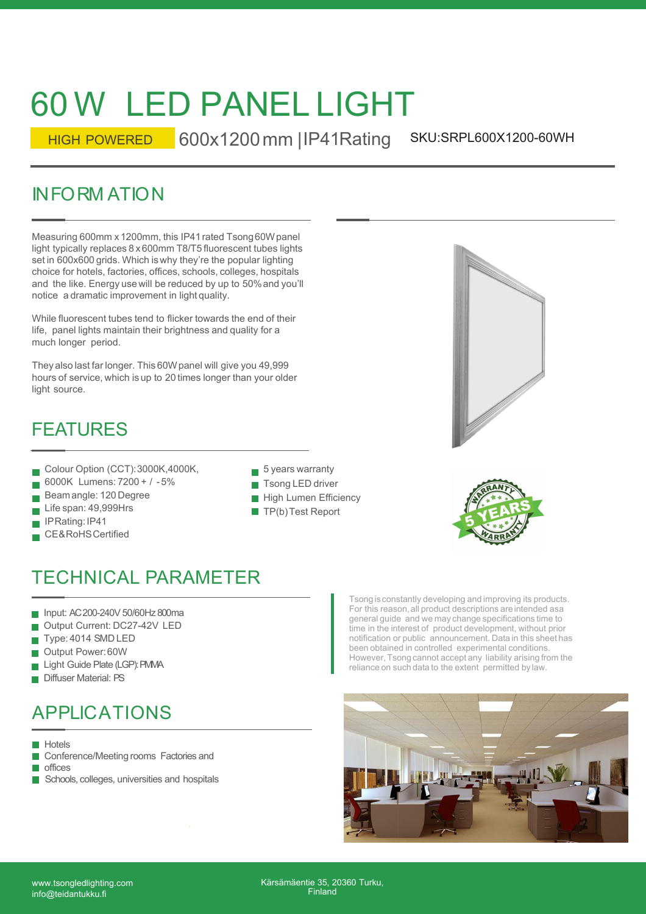# 60 W LED PANEL LIGHT

SKU:SRPL600X1200-60WH HIGH POWERED 600x1200 mm | IP41 Rating

60 W LED PANEL LIGHT<br>
HIGH POWERED 600x1200 mm | IP41Rating S<br>
INFORM ATION<br>
Measuring 600mm x 1200mm, this IP41 rated Tsong 60Wpanel<br>
Ilight typically replaces 8 x 600mm T8/T5 fluorescent tubes lights<br>
set in 600x600 grid Measuring 600mm x 1200mm, this IP41 rated Tsong60W panel light typically replaces 8 x 600mm T8/T5 fluorescent tubes lights set in 600x600 grids. Which is why they're the popular lighting choice for hotels, factories, offices, schools, colleges, hospitals and the like. Energy use will be reduced by up to 50% and you'll notice a dramatic improvement in light quality.

While fluorescent tubes tend to flicker towards the end of their life, panel lights maintain their brightness and quality for a much longer period.

They also last far longer. This 60W panel will give you 49,999 hours of service, which is up to 20 times longer than your older light source.

### FEATURES

- Colour Option (CCT): 3000K, 4000K,
- 6000K Lumens: 7200 + / 5%
- Beamangle: 120 Degree
- Life span: 49,999Hrs
- IPRating:IP41
- CE&RoHSCertified
- $\blacksquare$  5 years warranty **T**song LED driver
- 
- **High Lumen Efficiency**
- $\blacksquare$  TP(b) Test Report



# TECHNICAL PARAMETER

- Input: AC 200-240V 50/60Hz 800ma
- Output Current: DC27-42V LED
- Type: 4014 SMD LED
- Output Power:60W
- Light Guide Plate (LGP): PMMA
- Diffuser Material: PS

# APPLICATIONS

**Hotels** 

- Conference/Meeting rooms Factories and  $\mathcal{L}_{\mathcal{A}}$
- **n**offices
- Schools, colleges, universities and hospitals

Tsongis constantly developing and improving its products. For this reason, all product descriptions are intended as a general guide and we may change specifications time to time in the interest of product development, without prior notification or public announcement. Data in this sheet has been obtained in controlled experimental conditions. However, Tsong cannot accept any liability arising from the reliance on such data to the extent permitted by law.